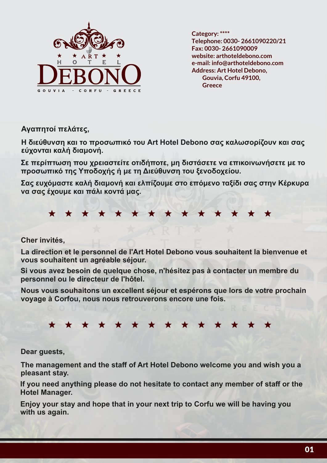

**Category: \*\*\*\* Fax: 0030- 2661090009 website: arthoteldebono.com e-mail: info@arthoteldebono.com Address: Art Hotel Debono, Gouvia, Corfu 49100, Greece Telephone: 0030- 2661090220/21**

**Αγαπητοί πελάτες,**

**Η διεύθυνση και το προσωπικό του Art Hotel Debono σας καλωσορίζουν και σας εύχονται καλή διαμονή.**

**Σε περίπτωση που χρειαστείτε οτιδήποτε, μη διστάσετε να επικοινωνήσετε με το προσωπικό της Υποδοχής ή με τη Διεύθυνση του ξενοδοχείου.**

**Σας ευχόμαστε καλή διαμονή και ελπίζουμε στο επόμενο ταξίδι σας στην Κέρκυρα να σας έχουμε και πάλι κοντά μας.**

\* \* \* \* \*  $\star$  $\bigstar$  $\bigstar$ 

#### **Cher invités,**

**La direction et le personnel de l'Art Hotel Debono vous souhaitent la bienvenue et vous souhaitent un agréable séjour.**

**Si vous avez besoin de quelque chose, n'hésitez pas à contacter un membre du personnel ou le directeur de l'hôtel.**

**Nous vous souhaitons un excellent séjour et espérons que lors de votre prochain voyage à Corfou, nous nous retrouverons encore une fois.**

#### \* \* \* \* \* \* \* \* \* \* \*  $\star$   $\star$  $\bigstar$

**Dear guests,**

**The management and the staff of Art Hotel Debono welcome you and wish you a pleasant stay.**

**If you need anything please do not hesitate to contact any member of staff or the Hotel Manager.**

**Enjoy your stay and hope that in your next trip to Corfu we will be having you with us again.**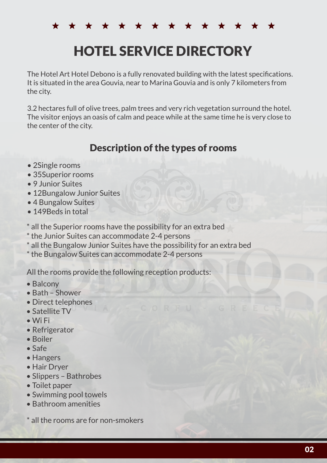\* \* \* \* \* \* \* \* \* \* \* \* \*

# HOTEL SERVICE DIRECTORY

The Hotel Art Hotel Debono is a fully renovated building with the latest specifications. It is situated in the area Gouvia, near to Marina Gouvia and is only 7 kilometers from the city.

3.2 hectares full of olive trees, palm trees and very rich vegetation surround the hotel. The visitor enjoys an oasis of calm and peace while at the same time he is very close to the center of the city.

# Description of the types of rooms

- 2 Single rooms
- 35 Superior rooms
- 9 Junior Suites
- 12 Bungalow Junior Suites
- 4 Bungalow Suites
- 149 Beds in total

\* all the Superior rooms have the possibility for an extra bed

- \* the Junior Suites can accommodate 2-4 persons
- \* all the Bungalow Junior Suites have the possibility for an extra bed
- \* the Bungalow Suites can accommodate 2-4 persons

All the rooms provide the following reception products:

- Balcony
- Bath Shower
- Direct telephones
- Satellite TV
- Wi Fi
- Refrigerator
- Boiler
- Safe
- Hangers
- Hair Dryer
- Slippers Bathrobes
- Toilet paper
- Swimming pool towels
- Bathroom amenities

all the rooms are for non-smokers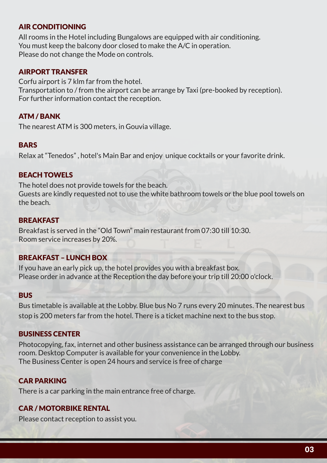# AIR CONDITIONING

All rooms in the Hotel including Bungalows are equipped with air conditioning. You must keep the balcony door closed to make the A/C in operation. Please do not change the Mode on controls.

#### AIRPORT TRANSFER

Corfu airport is 7 klm far from the hotel. Transportation to / from the airport can be arrange by Taxi (pre-booked by reception). For further information contact the reception.

#### ATM / BANK

The nearest ATM is 300 meters, in Gouvia village.

#### **BARS**

Relax at "Tenedos" , hotel's Main Bar and enjoy unique cocktails or your favorite drink.

#### BEACH TOWELS

The hotel does not provide towels for the beach. Guests are kindly requested not to use the white bathroom towels or the blue pool towels on the beach.

#### **BREAKFAST**

Breakfast is served in the "Old Town" main restaurant from 07:30 till 10:30. Room service increases by 20%.

# BREAKFAST – LUNCH BOX

If you have an early pick up, the hotel provides you with a breakfast box. Please order in advance at the Reception the day before your trip till 20:00 o'clock.

#### **BUS**

Bus timetable is available at the Lobby. Blue bus No 7 runs every 20 minutes. The nearest bus stop is 200 meters far from the hotel. There is a ticket machine next to the bus stop.

#### BUSINESS CENTER

Photocopying, fax, internet and other business assistance can be arranged through our business room. Desktop Computer is available for your convenience in the Lobby. The Business Center is open 24 hours and service is free of charge

# CAR PARKING

There is a car parking in the main entrance free of charge.

#### CAR / MOTORBIKE RENTAL

Please contact reception to assist you.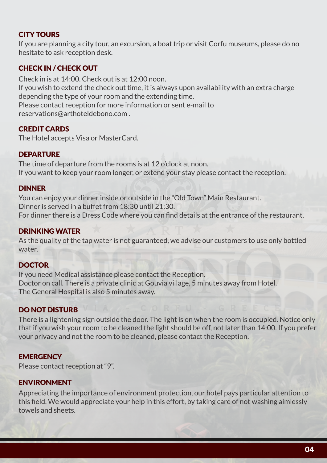# CITY TOURS

If you are planning a city tour, an excursion, a boat trip or visit Corfu museums, please do no hesitate to ask reception desk.

# CHECK IN / CHECK OUT

Check in is at 14:00. Check out is at 12:00 noon. If you wish to extend the check out time, it is always upon availability with an extra charge depending the type of your room and the extending time. Please contact reception for more information or sent e-mail to reservations@arthoteldebono.com .

# CREDIT CARDS

The Hotel accepts Visa or MasterCard.

# **DEPARTURE**

The time of departure from the rooms is at 12 o'clock at noon. If you want to keep your room longer, or extend your stay please contact the reception.

# DINNER

You can enjoy your dinner inside or outside in the "Old Town" Main Restaurant. Dinner is served in a buffet from 18:30 until 21:30. For dinner there is a Dress Code where you can find details at the entrance of the restaurant.

# DRINKING WATER

As the quality of the tap water is not guaranteed, we advise our customers to use only bottled water.

# DOCTOR

If you need Medical assistance please contact the Reception. Doctor on call. There is a private clinic at Gouvia village, 5 minutes away from Hotel. The General Hospital is also 5 minutes away.

# DO NOT DISTURB

There is a lightening sign outside the door. The light is on when the room is occupied. Notice only that if you wish your room to be cleaned the light should be off, not later than 14:00. If you prefer your privacy and not the room to be cleaned, please contact the Reception.

# **EMERGENCY**

Please contact reception at "9".

# ENVIRONMENT

Appreciating the importance of environment protection, our hotel pays particular attention to this field. We would appreciate your help in this effort, by taking care of not washing aimlessly towels and sheets.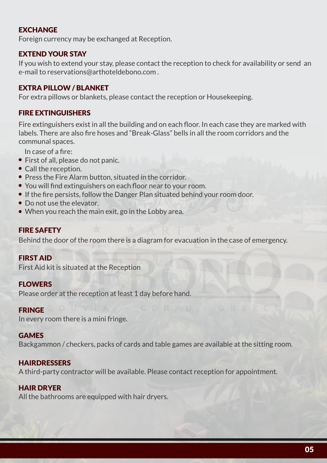# EXCHANGE

Foreign currency may be exchanged at Reception.

# EXTEND YOUR STAY

If you wish to extend your stay, please contact the reception to check for availability or send an e-mail to reservations@arthoteldebono.com .

# EXTRA PILLOW / BLANKET

For extra pillows or blankets, please contact the reception or Housekeeping.

# FIRE EXTINGUISHERS

Fire extinguishers exist in all the building and on each floor. In each case they are marked with labels. There are also fire hoses and "Break-Glass" bells in all the room corridors and the communal spaces.

In case of a fire:

- First of all, please do not panic.
- Call the reception.
- Press the Fire Alarm button, situated in the corridor.
- You will find extinguishers on each floor near to your room.
- If the fire persists, follow the Danger Plan situated behind your room door.
- Do not use the elevator.
- When you reach the main exit, go in the Lobby area.

# FIRE SAFETY

Behind the door of the room there is a diagram for evacuation in the case of emergency.

# FIRST AID

First Aid kit is situated at the Reception

# FLOWERS

Please order at the reception at least 1 day before hand.

#### FRINGE

In every room there is a mini fringe.

#### **GAMES**

Backgammon / checkers, packs of cards and table games are available at the sitting room.

# **HAIRDRESSERS**

A third-party contractor will be available. Please contact reception for appointment.

# HAIR DRYER

All the bathrooms are equipped with hair dryers.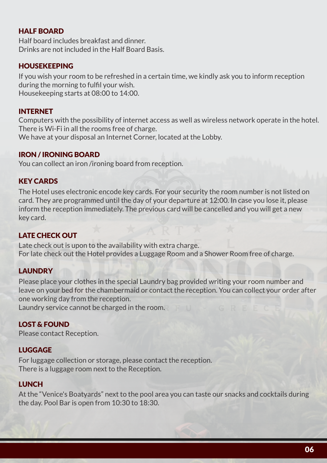# HAI F ROARD

Half board includes breakfast and dinner. Drinks are not included in the Half Board Basis.

# HOUSEKEEPING

If you wish your room to be refreshed in a certain time, we kindly ask you to inform reception during the morning to fulfil your wish. Housekeeping starts at 08:00 to 14:00.

# **INTERNET**

Computers with the possibility of internet access as well as wireless network operate in the hotel. There is Wi-Fi in all the rooms free of charge. We have at your disposal an Internet Corner, located at the Lobby.

#### IRON / IRONING BOARD

You can collect an iron /ironing board from reception.

# KEY CARDS

The Hotel uses electronic encode key cards. For your security the room number is not listed on card. They are programmed until the day of your departure at 12:00. In case you lose it, please inform the reception immediately. The previous card will be cancelled and you will get a new key card.

# LATE CHECK OUT

Late check out is upon to the availability with extra charge. For late check out the Hotel provides a Luggage Room and a Shower Room free of charge.

# **LAUNDRY**

Please place your clothes in the special Laundry bag provided writing your room number and leave on your bed for the chambermaid or contact the reception. You can collect your order after one working day from the reception.

Laundry service cannot be charged in the room.

# LOST & FOUND

Please contact Reception.

# LUGGAGE

For luggage collection or storage, please contact the reception. There is a luggage room next to the Reception.

# LUNCH

At the "Venice's Boatyards" next to the pool area you can taste our snacks and cocktails during the day. Pool Bar is open from 10:30 to 18:30.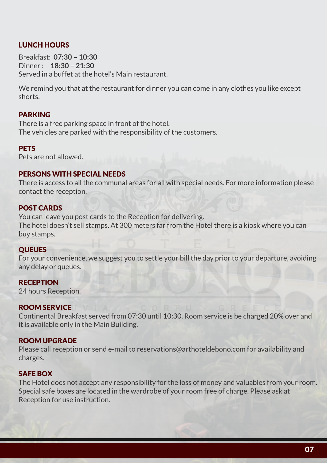# LUNCH HOURS

Breakfast: **07:30 – 10:30** Dinner : **18:30 – 21:30** Served in a buffet at the hotel's Main restaurant.

We remind you that at the restaurant for dinner you can come in any clothes you like except shorts.

#### PARKING

There is a free parking space in front of the hotel. The vehicles are parked with the responsibility of the customers.

#### **PETS**

Pets are not allowed.

#### PERSONS WITH SPECIAL NEEDS

There is access to all the communal areas for all with special needs. For more information please contact the reception.

#### POST CARDS

You can leave you post cards to the Reception for delivering. The hotel doesn't sell stamps. At 300 meters far from the Hotel there is a kiosk where you can buy stamps.

#### **QUEUES**

For your convenience, we suggest you to settle your bill the day prior to your departure, avoiding any delay or queues.

#### **RECEPTION**

24 hours Reception.

#### ROOM SERVICE

Continental Breakfast served from 07:30 until 10:30. Room service is be charged 20% over and it is available only in the Main Building.

#### ROOM UPGRADE

Please call reception or send e-mail to reservations@arthoteldebono.com for availability and charges.

#### SAFE BOX

The Hotel does not accept any responsibility for the loss of money and valuables from your room. Special safe boxes are located in the wardrobe of your room free of charge. Please ask at Reception for use instruction.